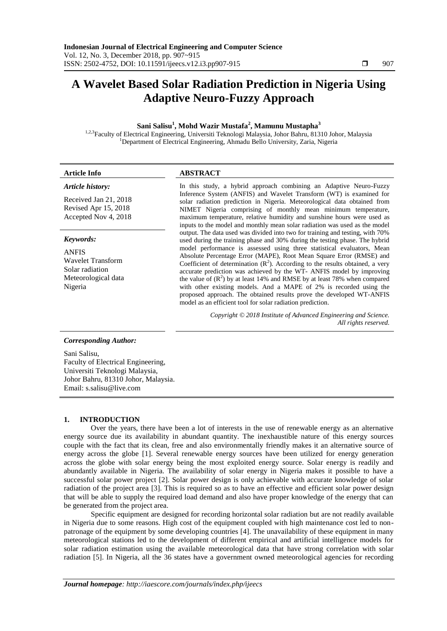# **A Wavelet Based Solar Radiation Prediction in Nigeria Using Adaptive Neuro-Fuzzy Approach**

# **Sani Salisu<sup>1</sup> , Mohd Wazir Mustafa<sup>2</sup> , Mamunu Mustapha<sup>3</sup>**

<sup>1,2,3</sup>Faculty of Electrical Engineering, Universiti Teknologi Malaysia, Johor Bahru, 81310 Johor, Malaysia <sup>1</sup>Department of Electrical Engineering, Ahmadu Bello University, Zaria, Nigeria

# *Article history:*

Received Jan 21, 2018 Revised Apr 15, 2018 Accepted Nov 4, 2018

# *Keywords:*

ANFIS Wavelet Transform Solar radiation Meteorological data Nigeria

# **Article Info ABSTRACT**

In this study, a hybrid approach combining an Adaptive Neuro-Fuzzy Inference System (ANFIS) and Wavelet Transform (WT) is examined for solar radiation prediction in Nigeria. Meteorological data obtained from NIMET Nigeria comprising of monthly mean minimum temperature, maximum temperature, relative humidity and sunshine hours were used as inputs to the model and monthly mean solar radiation was used as the model output. The data used was divided into two for training and testing, with 70% used during the training phase and 30% during the testing phase. The hybrid model performance is assessed using three statistical evaluators, Mean Absolute Percentage Error (MAPE), Root Mean Square Error (RMSE) and Coefficient of determination  $(R^2)$ . According to the results obtained, a very accurate prediction was achieved by the WT- ANFIS model by improving the value of  $(R^2)$  by at least 14% and RMSE by at least 78% when compared with other existing models. And a MAPE of 2% is recorded using the proposed approach. The obtained results prove the developed WT-ANFIS model as an efficient tool for solar radiation prediction.

> *Copyright © 2018 Institute of Advanced Engineering and Science. All rights reserved.*

### *Corresponding Author:*

Sani Salisu, Faculty of Electrical Engineering, Universiti Teknologi Malaysia, Johor Bahru, 81310 Johor, Malaysia. Email: s.salisu@live.com

# **1. INTRODUCTION**

Over the years, there have been a lot of interests in the use of renewable energy as an alternative energy source due its availability in abundant quantity. The inexhaustible nature of this energy sources couple with the fact that its clean, free and also environmentally friendly makes it an alternative source of energy across the globe [1]. Several renewable energy sources have been utilized for energy generation across the globe with solar energy being the most exploited energy source. Solar energy is readily and abundantly available in Nigeria. The availability of solar energy in Nigeria makes it possible to have a successful solar power project [2]. Solar power design is only achievable with accurate knowledge of solar radiation of the project area [3]. This is required so as to have an effective and efficient solar power design that will be able to supply the required load demand and also have proper knowledge of the energy that can be generated from the project area.

Specific equipment are designed for recording horizontal solar radiation but are not readily available in Nigeria due to some reasons. High cost of the equipment coupled with high maintenance cost led to nonpatronage of the equipment by some developing countries [4]. The unavailability of these equipment in many meteorological stations led to the development of different empirical and artificial intelligence models for solar radiation estimation using the available meteorological data that have strong correlation with solar radiation [5]. In Nigeria, all the 36 states have a government owned meteorological agencies for recording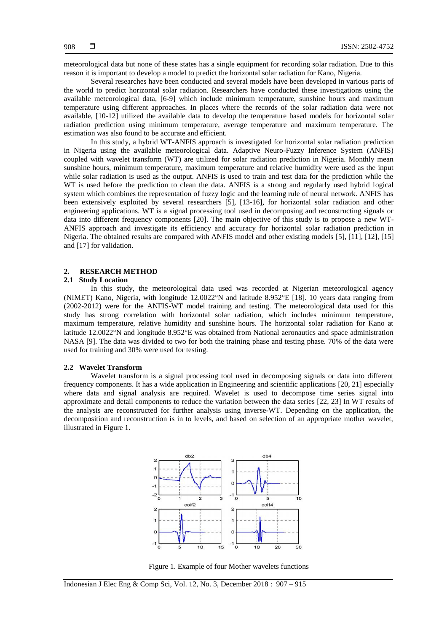meteorological data but none of these states has a single equipment for recording solar radiation. Due to this reason it is important to develop a model to predict the horizontal solar radiation for Kano, Nigeria.

Several researches have been conducted and several models have been developed in various parts of the world to predict horizontal solar radiation. Researchers have conducted these investigations using the available meteorological data, [6-9] which include minimum temperature, sunshine hours and maximum temperature using different approaches. In places where the records of the solar radiation data were not available, [10-12] utilized the available data to develop the temperature based models for horizontal solar radiation prediction using minimum temperature, average temperature and maximum temperature. The estimation was also found to be accurate and efficient.

In this study, a hybrid WT-ANFIS approach is investigated for horizontal solar radiation prediction in Nigeria using the available meteorological data. Adaptive Neuro-Fuzzy Inference System (ANFIS) coupled with wavelet transform (WT) are utilized for solar radiation prediction in Nigeria. Monthly mean sunshine hours, minimum temperature, maximum temperature and relative humidity were used as the input while solar radiation is used as the output. ANFIS is used to train and test data for the prediction while the WT is used before the prediction to clean the data. ANFIS is a strong and regularly used hybrid logical system which combines the representation of fuzzy logic and the learning rule of neural network. ANFIS has been extensively exploited by several researchers [5], [13-16], for horizontal solar radiation and other engineering applications. WT is a signal processing tool used in decomposing and reconstructing signals or data into different frequency components [20]. The main objective of this study is to propose a new WT-ANFIS approach and investigate its efficiency and accuracy for horizontal solar radiation prediction in Nigeria. The obtained results are compared with ANFIS model and other existing models [5], [11], [12], [15] and [17] for validation.

# **2. RESEARCH METHOD**

#### **2.1 Study Location**

In this study, the meteorological data used was recorded at Nigerian meteorological agency (NIMET) Kano, Nigeria, with longitude  $12.0022^{\circ}N$  and latitude  $8.952^{\circ}E$  [18]. 10 years data ranging from (2002-2012) were for the ANFIS-WT model training and testing. The meteorological data used for this study has strong correlation with horizontal solar radiation, which includes minimum temperature, maximum temperature, relative humidity and sunshine hours. The horizontal solar radiation for Kano at latitude 12.0022°N and longitude 8.952°E was obtained from National aeronautics and space administration NASA [9]. The data was divided to two for both the training phase and testing phase. 70% of the data were used for training and 30% were used for testing.

# **2.2 Wavelet Transform**

Wavelet transform is a signal processing tool used in decomposing signals or data into different frequency components. It has a wide application in Engineering and scientific applications [20, 21] especially where data and signal analysis are required. Wavelet is used to decompose time series signal into approximate and detail components to reduce the variation between the data series [22, 23] In WT results of the analysis are reconstructed for further analysis using inverse-WT. Depending on the application, the decomposition and reconstruction is in to levels, and based on selection of an appropriate mother wavelet, illustrated in Figure 1.



Figure 1. Example of four Mother wavelets functions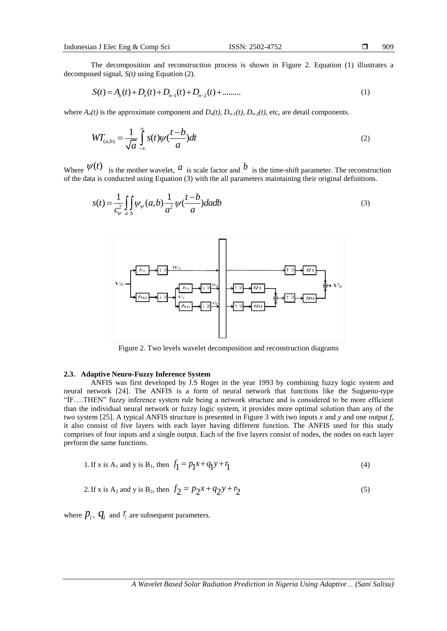The decomposition and reconstruction process is shown in Figure 2. Equation (1) illustrates a

decomposed signal, 
$$
S(t)
$$
 using Equation (2).  
\n
$$
S(t) = A_n(t) + D_n(t) + D_{n-1}(t) + D_{n-2}(t) + \dots
$$
\n(1)

where  $A_n(t)$  is the approximate component and  $D_n(t)$ ,  $D_{n-1}(t)$ ,  $D_{n-2}(t)$ , etc, are detail components.

$$
W_{(a,b)} = \frac{1}{\sqrt{a}} \int_{-\infty}^{\infty} s(t) \psi(\frac{t-b}{a}) dt
$$
 (2)

Where  $\mathcal{V}^{(1)}$  is the mother wavelet,  $\mathcal{U}$  is scale factor and  $\mathcal{U}$  is the time-shift parameter. The reconstruction of the data is conducted using Equation (3) with the all parameters maintaining their original definitions.  $\psi(t)$  is the mother wavelet.  $\alpha$  is scale factor and  $\beta$ 

$$
s(t) = \frac{1}{c_{\psi}^2} \iint_{a} \psi_{\psi}(a,b) \frac{1}{a^2} \psi(\frac{t-b}{a}) da db
$$
 (3)



Figure 2. Two levels wavelet decomposition and reconstruction diagrams

# **2.3. Adaptive Neuro-Fuzzy Inference System**

ANFIS was first developed by J.S Roger in the year 1993 by combining fuzzy logic system and neural network [24]. The ANFIS is a form of neural network that functions like the Sugueno-type "ÍF….THEN" fuzzy inference system rule being a network structure and is considered to be more efficient than the individual neural network or fuzzy logic system, it provides more optimal solution than any of the two system [25]. A typical ANFIS structure is presented in Figure 3 with two inputs *x* and *y* and one output *f*, it also consist of five layers with each layer having different function. The ANFIS used for this study comprises of four inputs and a single output. Each of the five layers consist of nodes, the nodes on each layer perform the same functions.

1. If x is A<sub>1</sub> and y is B<sub>1</sub>, then 
$$
f_1 = p_1 x + q_1 y + r_1
$$
 (4)

2. If x is A<sub>2</sub> and y is B<sub>2</sub>, then 
$$
f_2 = p_2 x + q_2 y + r_2
$$
 (5)

where  $p_i$ ,  $q_i$  and  $r_i$  are subsequent parameters.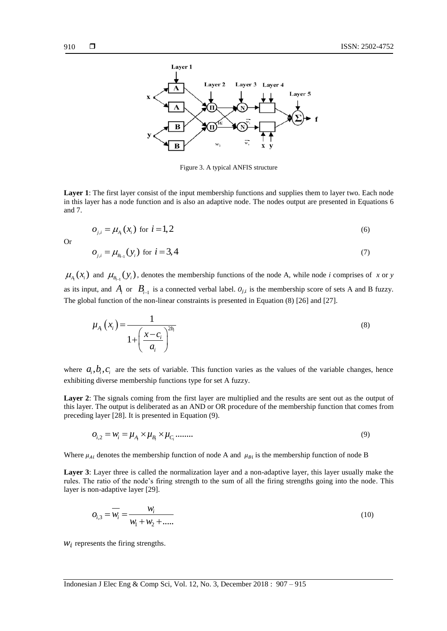

Figure 3. A typical ANFIS structure

**Layer 1**: The first layer consist of the input membership functions and supplies them to layer two. Each node in this layer has a node function and is also an adaptive node. The nodes output are presented in Equations 6 and 7.

$$
o_{j,i} = \mu_{A_i}(x_i) \text{ for } i = 1, 2
$$
 (6)

Or

$$
o_{j,i} = \mu_{B_{i-1}}(y_i) \text{ for } i = 3,4
$$
 (7)

 $\mu_{A_i}(x_i)$  and  $\mu_{B_{i-1}}(y_i)$ , denotes the membership functions of the node A, while node *i* comprises of *x* or *y* as its input, and  $A_i$  or  $B_i$ <sub>i-1</sub> is a connected verbal label.  $O_{j,i}$  is the membership score of sets A and B fuzzy. The global function of the non-linear constraints is presented in Equation (8) [26] and [27].

$$
\mu_{A_i}\left(x_i\right) = \frac{1}{1 + \left(\frac{x - c_i}{a_i}\right)^{2b_i}}\tag{8}
$$

where  $a_i, b_i, c_i$  are the sets of variable. This function varies as the values of the variable changes, hence exhibiting diverse membership functions type for set A fuzzy.

Layer 2: The signals coming from the first layer are multiplied and the results are sent out as the output of this layer. The output is deliberated as an AND or OR procedure of the membership function that comes from preceding layer [28]. It is presented in Equation (9).

$$
o_{i,2} = w_i = \mu_{A_i} \times \mu_{B_i} \times \mu_{C_i} \dots \dots \dots \tag{9}
$$

Where  $\mu_{Ai}$  denotes the membership function of node A and  $\mu_{Bi}$  is the membership function of node B

**Layer 3**: Layer three is called the normalization layer and a non-adaptive layer, this layer usually make the rules. The ratio of the node's firing strength to the sum of all the firing strengths going into the node. This layer is non-adaptive layer [29].

$$
O_{i,3} = \overline{W_i} = \frac{W_i}{W_1 + W_2 + \dots}
$$
 (10)

 $W_i$  represents the firing strengths.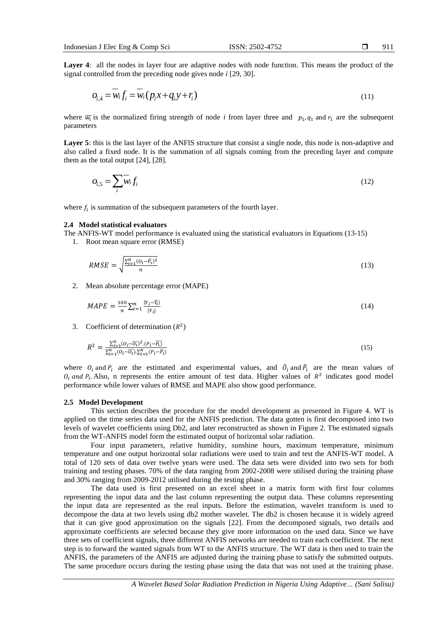**Layer 4**: all the nodes in layer four are adaptive nodes with node function. This means the product of the signal controlled from the preceding node gives node *i* [29, 30].

$$
o_{i,4} = \overline{w_i} f_i = \overline{w_i} (p_i x + q_i y + r_i)
$$
\n(11)

where  $\overline{w_i}$  is the normalized firing strength of node *i* from layer three and  $p_1$ ,  $q_1$  and  $r_1$  are the subsequent parameters

Layer 5: this is the last layer of the ANFIS structure that consist a single node, this node is non-adaptive and also called a fixed node. It is the summation of all signals coming from the preceding layer and compute them as the total output [24], [28].

$$
O_{i,5} = \sum_{i} w_i f_i \tag{12}
$$

where  $f_i$  is summation of the subsequent parameters of the fourth layer.

# **2.4 Model statistical evaluators**

The ANFIS-WT model performance is evaluated using the statistical evaluators in Equations (13-15)

1. Root mean square error (RMSE)

$$
RMSE = \sqrt{\frac{\sum_{i=1}^{n} (O_i - \bar{P}_i)^2}{n}}
$$
(13)

2. Mean absolute percentage error (MAPE)

$$
MAPE = \frac{100}{n} \sum_{i=1}^{n} \frac{|Y_i - \hat{Y}_i|}{|Y_i|}
$$
(14)

3. Coefficient of determination  $(R^2)$ 

$$
R^{2} = \frac{\sum_{i=1}^{n} (o_{i} - \overline{o_{i}})^{2} (P_{i} - \overline{P_{i}})}{\sum_{i=1}^{n} (o_{i} - \overline{o_{i}}) \sum_{i=1}^{n} (P_{i} - \overline{P_{i}})}
$$
(15)

where  $O_i$  and  $P_i$  are the estimated and experimental values, and  $\overline{O}_i$  and  $\overline{P}_i$  are the mean values of  $O_i$  and  $P_i$ . Also, n represents the entire amount of test data. Higher values of  $R^2$  indicates good model performance while lower values of RMSE and MAPE also show good performance.

## **2.5 Model Development**

This section describes the procedure for the model development as presented in Figure 4. WT is applied on the time series data used for the ANFIS prediction. The data gotten is first decomposed into two levels of wavelet coefficients using Db2, and later reconstructed as shown in Figure 2. The estimated signals from the WT-ANFIS model form the estimated output of horizontal solar radiation.

Four input parameters, relative humidity, sunshine hours, maximum temperature, minimum temperature and one output horizontal solar radiations were used to train and test the ANFIS-WT model. A total of 120 sets of data over twelve years were used. The data sets were divided into two sets for both training and testing phases. 70% of the data ranging from 2002-2008 were utilised during the training phase and 30% ranging from 2009-2012 utilised during the testing phase.

The data used is first presented on an excel sheet in a matrix form with first four columns representing the input data and the last column representing the output data. These columns representing the input data are represented as the real inputs. Before the estimation, wavelet transform is used to decompose the data at two levels using db2 mother wavelet. The db2 is chosen because it is widely agreed that it can give good approximation on the signals [22]. From the decomposed signals, two details and approximate coefficients are selected because they give more information on the used data. Since we have three sets of coefficient signals, three different ANFIS networks are needed to train each coefficient. The next step is to forward the wanted signals from WT to the ANFIS structure. The WT data is then used to train the ANFIS, the parameters of the ANFIS are adjusted during the training phase to satisfy the submitted outputs. The same procedure occurs during the testing phase using the data that was not used at the training phase.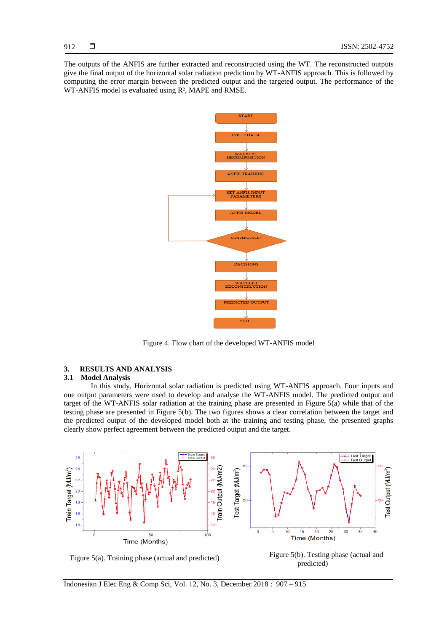The outputs of the ANFIS are further extracted and reconstructed using the WT. The reconstructed outputs give the final output of the horizontal solar radiation prediction by WT-ANFIS approach. This is followed by computing the error margin between the predicted output and the targeted output. The performance of the WT-ANFIS model is evaluated using R², MAPE and RMSE.



Figure 4. Flow chart of the developed WT-ANFIS model

# **3. RESULTS AND ANALYSIS**

# **3.1 Model Analysis**

In this study, Horizontal solar radiation is predicted using WT-ANFIS approach. Four inputs and one output parameters were used to develop and analyse the WT-ANFIS model. The predicted output and target of the WT-ANFIS solar radiation at the training phase are presented in Figure 5(a) while that of the testing phase are presented in Figure 5(b). The two figures shows a clear correlation between the target and the predicted output of the developed model both at the training and testing phase, the presented graphs clearly show perfect agreement between the predicted output and the target.



Figure 5(a). Training phase (actual and predicted) Figure 5(b). Testing phase (actual and  $\frac{1}{2}$ predicted)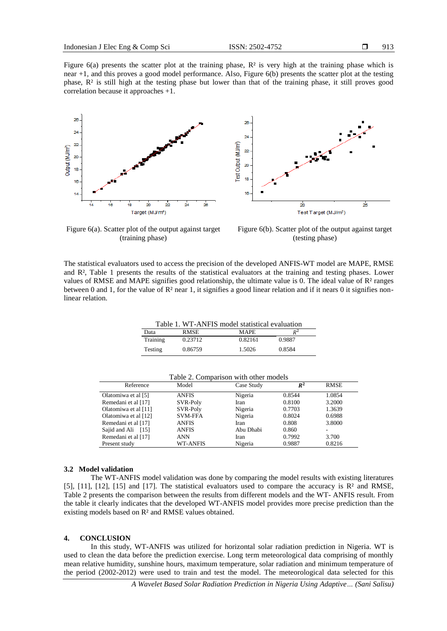Figure 6(a) presents the scatter plot at the training phase,  $\mathbb{R}^2$  is very high at the training phase which is near +1, and this proves a good model performance. Also, Figure 6(b) presents the scatter plot at the testing phase,  $R<sup>2</sup>$  is still high at the testing phase but lower than that of the training phase, it still proves good correlation because it approaches +1.





Figure 6(a). Scatter plot of the output against target (training phase)

Figure 6(b). Scatter plot of the output against target (testing phase)

The statistical evaluators used to access the precision of the developed ANFIS-WT model are MAPE, RMSE and  $R<sup>2</sup>$ , Table 1 presents the results of the statistical evaluators at the training and testing phases. Lower values of RMSE and MAPE signifies good relationship, the ultimate value is 0. The ideal value of  $\mathbb{R}^2$  ranges between 0 and 1, for the value of  $\mathbb{R}^2$  near 1, it signifies a good linear relation and if it nears 0 it signifies nonlinear relation.

| Table 1. WT-ANFIS model statistical evaluation |             |             |        |  |  |
|------------------------------------------------|-------------|-------------|--------|--|--|
| Data                                           | <b>RMSE</b> | <b>MAPE</b> | $R^2$  |  |  |
| Training                                       | 0.23712     | 0.82161     | 0.9887 |  |  |
| Testing                                        | 0.86759     | 1.5026      | 0.8584 |  |  |

| Reference             | Model           | Case Study | $R^2$  | <b>RMSE</b> |
|-----------------------|-----------------|------------|--------|-------------|
| Olatomiwa et al [5]   | <b>ANFIS</b>    | Nigeria    | 0.8544 | 1.0854      |
| Remedani et al [17]   | SVR-Poly        | Iran       | 0.8100 | 3.2000      |
| Olatomiwa et al [11]  | SVR-Poly        | Nigeria    | 0.7703 | 1.3639      |
| Olatomiwa et al [12]  | <b>SVM-FFA</b>  | Nigeria    | 0.8024 | 0.6988      |
| Remedani et al [17]   | <b>ANFIS</b>    | Iran       | 0.808  | 3.8000      |
| Sajid and Ali<br>[15] | <b>ANFIS</b>    | Abu Dhabi  | 0.860  |             |
| Remedani et al [17]   | ANN             | Iran       | 0.7992 | 3.700       |
| Present study         | <b>WT-ANFIS</b> | Nigeria    | 0.9887 | 0.8216      |

### **3.2 Model validation**

The WT-ANFIS model validation was done by comparing the model results with existing literatures [5], [11], [12], [15] and [17]. The statistical evaluators used to compare the accuracy is R² and RMSE, Table 2 presents the comparison between the results from different models and the WT- ANFIS result. From the table it clearly indicates that the developed WT-ANFIS model provides more precise prediction than the existing models based on R² and RMSE values obtained.

#### **4. CONCLUSION**

In this study, WT-ANFIS was utilized for horizontal solar radiation prediction in Nigeria. WT is used to clean the data before the prediction exercise. Long term meteorological data comprising of monthly mean relative humidity, sunshine hours, maximum temperature, solar radiation and minimum temperature of the period (2002-2012) were used to train and test the model. The meteorological data selected for this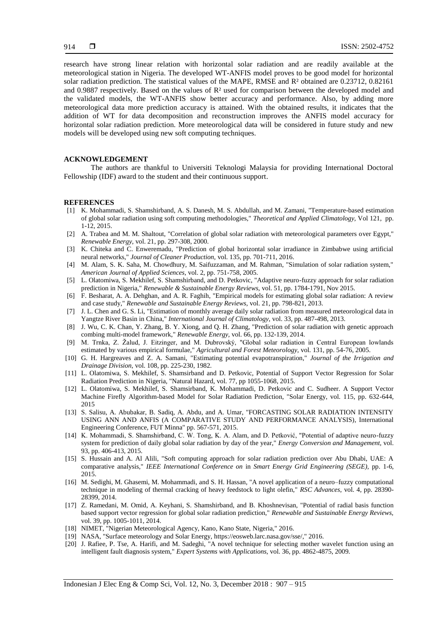research have strong linear relation with horizontal solar radiation and are readily available at the meteorological station in Nigeria. The developed WT-ANFIS model proves to be good model for horizontal solar radiation prediction. The statistical values of the MAPE, RMSE and R<sup>2</sup> obtained are 0.23712, 0.82161 and 0.9887 respectively. Based on the values of R² used for comparison between the developed model and the validated models, the WT-ANFIS show better accuracy and performance. Also, by adding more meteorological data more prediction accuracy is attained. With the obtained results, it indicates that the addition of WT for data decomposition and reconstruction improves the ANFIS model accuracy for horizontal solar radiation prediction. More meteorological data will be considered in future study and new models will be developed using new soft computing techniques.

# **ACKNOWLEDGEMENT**

The authors are thankful to Universiti Teknologi Malaysia for providing International Doctoral Fellowship (IDF) award to the student and their continuous support.

## **REFERENCES**

- [1] K. Mohammadi, S. Shamshirband, A. S. Danesh, M. S. Abdullah, and M. Zamani, "Temperature-based estimation of global solar radiation using soft computing methodologies," *Theoretical and Applied Climatology,* Vol 121*,* pp. 1-12, 2015.
- [2] A. Trabea and M. M. Shaltout, "Correlation of global solar radiation with meteorological parameters over Egypt," *Renewable Energy,* vol. 21, pp. 297-308, 2000.
- [3] K. Chiteka and C. Enweremadu, "Prediction of global horizontal solar irradiance in Zimbabwe using artificial neural networks," *Journal of Cleaner Production,* vol. 135, pp. 701-711, 2016.
- [4] M. Alam, S. K. Saha, M. Chowdhury, M. Saifuzzaman, and M. Rahman, "Simulation of solar radiation system," *American Journal of Applied Sciences,* vol. 2, pp. 751-758, 2005.
- [5] L. Olatomiwa, S. Mekhilef, S. Shamshirband, and D. Petkovic, "Adaptive neuro-fuzzy approach for solar radiation prediction in Nigeria," *Renewable & Sustainable Energy Reviews,* vol. 51, pp. 1784-1791, Nov 2015.
- [6] F. Besharat, A. A. Dehghan, and A. R. Faghih, "Empirical models for estimating global solar radiation: A review and case study," *Renewable and Sustainable Energy Reviews,* vol. 21, pp. 798-821, 2013.
- [7] J. L. Chen and G. S. Li, "Estimation of monthly average daily solar radiation from measured meteorological data in Yangtze River Basin in China," *International Journal of Climatology,* vol. 33, pp. 487-498, 2013.
- [8] J. Wu, C. K. Chan, Y. Zhang, B. Y. Xiong, and Q. H. Zhang, "Prediction of solar radiation with genetic approach combing multi-model framework," *Renewable Energy,* vol. 66, pp. 132-139, 2014.
- [9] M. Trnka, Z. Žalud, J. Eitzinger, and M. Dubrovský, "Global solar radiation in Central European lowlands estimated by various empirical formulae," *Agricultural and Forest Meteorology,* vol. 131, pp. 54-76, 2005.
- [10] G. H. Hargreaves and Z. A. Samani, "Estimating potential evapotranspiration," *Journal of the Irrigation and Drainage Division,* vol. 108, pp. 225-230, 1982.
- [11] L. Olatomiwa, S. Mekhilef, S. Shamsirband and D. Petkovic, Potential of Support Vector Regression for Solar Radiation Prediction in Nigeria, "Natural Hazard, vol. 77, pp 1055-1068, 2015.
- [12] L. Olatomiwa, S. Mekhilef, S. Shamsirband, K. Mohammadi, D. Petkovic and C. Sudheer. A Support Vector Machine Firefly Algorithm-based Model for Solar Radiation Prediction, "Solar Energy, vol. 115, pp. 632-644, 2015
- [13] S. Salisu, A. Abubakar, B. Sadiq, A. Abdu, and A. Umar, "FORCASTING SOLAR RADIATION INTENSITY USING ANN AND ANFIS (A COMPARATIVE STUDY AND PERFORMANCE ANALYSIS), International Engineering Conference, FUT Minna" pp. 567-571, 2015.
- [14] K. Mohammadi, S. Shamshirband, C. W. Tong, K. A. Alam, and D. Petković, "Potential of adaptive neuro-fuzzy system for prediction of daily global solar radiation by day of the year," *Energy Conversion and Management,* vol. 93, pp. 406-413, 2015.
- [15] S. Hussain and A. Al Alili, "Soft computing approach for solar radiation prediction over Abu Dhabi, UAE: A comparative analysis," *IEEE International Conference on* in *Smart Energy Grid Engineering (SEGE),* pp. 1-6, 2015.
- [16] M. Sedighi, M. Ghasemi, M. Mohammadi, and S. H. Hassan, "A novel application of a neuro–fuzzy computational technique in modeling of thermal cracking of heavy feedstock to light olefin," *RSC Advances,* vol. 4, pp. 28390- 28399, 2014.
- [17] Z. Ramedani, M. Omid, A. Keyhani, S. Shamshirband, and B. Khoshnevisan, "Potential of radial basis function based support vector regression for global solar radiation prediction," *Renewable and Sustainable Energy Reviews,*  vol. 39, pp. 1005-1011, 2014.
- [18] NIMET, "Nigerian Meteorological Agency, Kano, Kano State, Nigeria," 2016.
- [19] NASA, "Surface meteorology and Solar Energy, https://eosweb.larc.nasa.gov/sse/," 2016.
- [20] J. Rafiee, P. Tse, A. Harifi, and M. Sadeghi, "A novel technique for selecting mother wavelet function using an intelligent fault diagnosis system," *Expert Systems with Applications,* vol. 36, pp. 4862-4875, 2009.